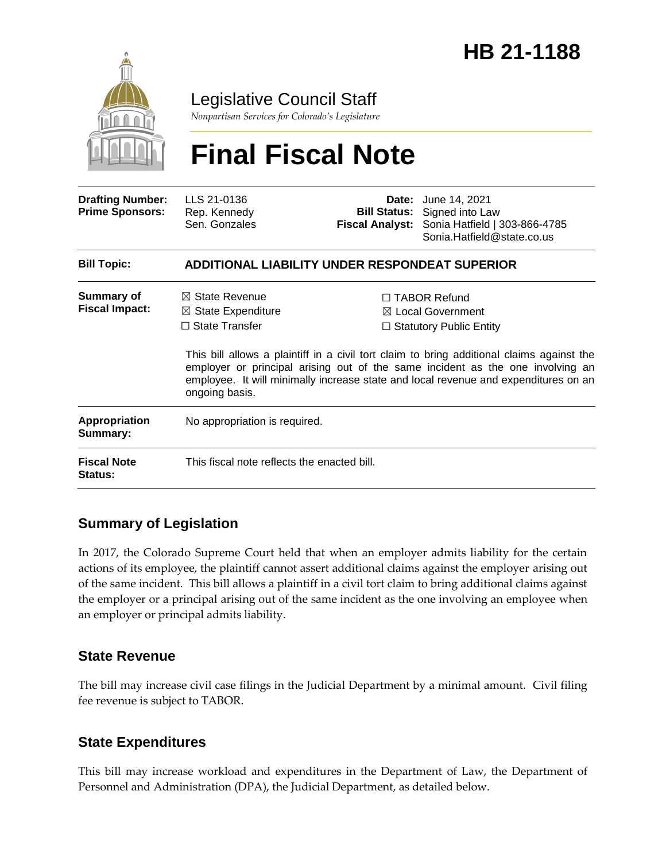

Legislative Council Staff

*Nonpartisan Services for Colorado's Legislature*

# **Final Fiscal Note**

| <b>Drafting Number:</b><br><b>Prime Sponsors:</b> | LLS 21-0136<br>Rep. Kennedy<br>Sen. Gonzales                                                          | <b>Fiscal Analyst:</b> | <b>Date:</b> June 14, 2021<br><b>Bill Status:</b> Signed into Law<br>Sonia Hatfield   303-866-4785<br>Sonia.Hatfield@state.co.us                                                                                                                                                                                                                  |  |
|---------------------------------------------------|-------------------------------------------------------------------------------------------------------|------------------------|---------------------------------------------------------------------------------------------------------------------------------------------------------------------------------------------------------------------------------------------------------------------------------------------------------------------------------------------------|--|
| <b>Bill Topic:</b>                                | ADDITIONAL LIABILITY UNDER RESPONDEAT SUPERIOR                                                        |                        |                                                                                                                                                                                                                                                                                                                                                   |  |
| <b>Summary of</b><br><b>Fiscal Impact:</b>        | $\boxtimes$ State Revenue<br>$\boxtimes$ State Expenditure<br>$\Box$ State Transfer<br>ongoing basis. |                        | $\Box$ TABOR Refund<br>⊠ Local Government<br>$\Box$ Statutory Public Entity<br>This bill allows a plaintiff in a civil tort claim to bring additional claims against the<br>employer or principal arising out of the same incident as the one involving an<br>employee. It will minimally increase state and local revenue and expenditures on an |  |
| <b>Appropriation</b><br>Summary:                  | No appropriation is required.                                                                         |                        |                                                                                                                                                                                                                                                                                                                                                   |  |
| <b>Fiscal Note</b><br><b>Status:</b>              | This fiscal note reflects the enacted bill.                                                           |                        |                                                                                                                                                                                                                                                                                                                                                   |  |

# **Summary of Legislation**

In 2017, the Colorado Supreme Court held that when an employer admits liability for the certain actions of its employee, the plaintiff cannot assert additional claims against the employer arising out of the same incident. This bill allows a plaintiff in a civil tort claim to bring additional claims against the employer or a principal arising out of the same incident as the one involving an employee when an employer or principal admits liability.

### **State Revenue**

The bill may increase civil case filings in the Judicial Department by a minimal amount. Civil filing fee revenue is subject to TABOR.

# **State Expenditures**

This bill may increase workload and expenditures in the Department of Law, the Department of Personnel and Administration (DPA), the Judicial Department, as detailed below.